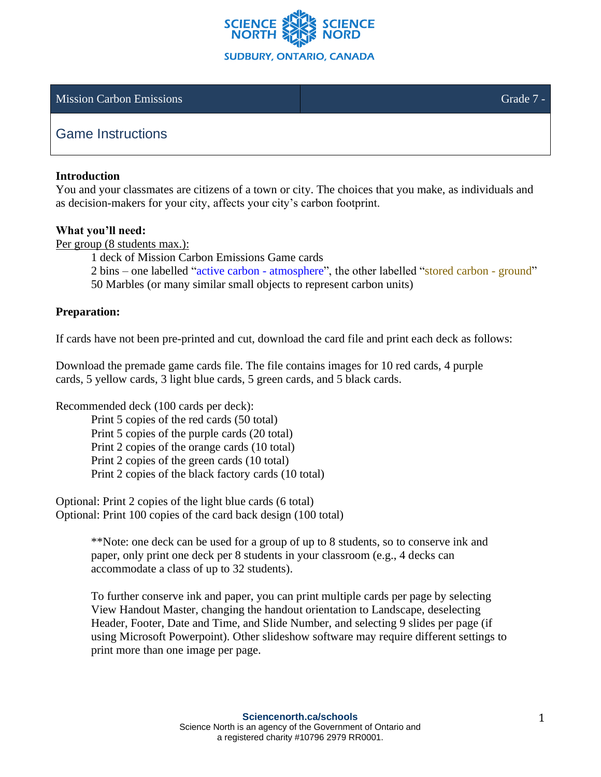

### Mission Carbon Emissions Grade 7 -

# Game Instructions

#### **Introduction**

You and your classmates are citizens of a town or city. The choices that you make, as individuals and as decision-makers for your city, affects your city's carbon footprint.

#### **What you'll need:**

Per group (8 students max.):

1 deck of Mission Carbon Emissions Game cards

2 bins – one labelled "active carbon - atmosphere", the other labelled "stored carbon - ground"

50 Marbles (or many similar small objects to represent carbon units)

### **Preparation:**

If cards have not been pre-printed and cut, download the card file and print each deck as follows:

Download the premade game cards file. The file contains images for 10 red cards, 4 purple cards, 5 yellow cards, 3 light blue cards, 5 green cards, and 5 black cards.

Recommended deck (100 cards per deck):

Print 5 copies of the red cards (50 total)

Print 5 copies of the purple cards (20 total)

Print 2 copies of the orange cards (10 total)

Print 2 copies of the green cards (10 total)

Print 2 copies of the black factory cards (10 total)

Optional: Print 2 copies of the light blue cards (6 total) Optional: Print 100 copies of the card back design (100 total)

> \*\*Note: one deck can be used for a group of up to 8 students, so to conserve ink and paper, only print one deck per 8 students in your classroom (e.g., 4 decks can accommodate a class of up to 32 students).

To further conserve ink and paper, you can print multiple cards per page by selecting View Handout Master, changing the handout orientation to Landscape, deselecting Header, Footer, Date and Time, and Slide Number, and selecting 9 slides per page (if using Microsoft Powerpoint). Other slideshow software may require different settings to print more than one image per page.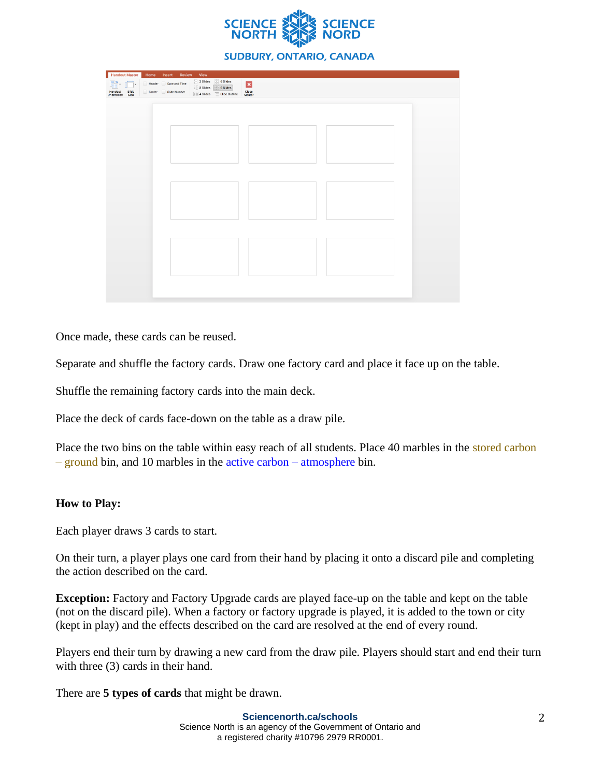

#### **SUDBURY, ONTARIO, CANADA**

| Handout Master                                           | Home Insert Review                          | View                                                               |                                            |                                    |  |
|----------------------------------------------------------|---------------------------------------------|--------------------------------------------------------------------|--------------------------------------------|------------------------------------|--|
| <b>Fo</b><br>$\Box$<br>Handout Slide<br>Orientation Size | Header Date and Time<br>Footer Slide Number | $\frac{1}{2}$ 2 Slides<br>$\frac{1}{2}$ 3 Slides<br>$\Xi$ 4 Slides | 6 Slides<br>9 Slides<br>Slide Outline<br>Ξ | $\vert x \vert$<br>Close<br>Master |  |
|                                                          |                                             |                                                                    |                                            |                                    |  |
|                                                          |                                             |                                                                    |                                            |                                    |  |
|                                                          |                                             |                                                                    |                                            |                                    |  |
|                                                          |                                             |                                                                    |                                            |                                    |  |
|                                                          |                                             |                                                                    |                                            |                                    |  |
|                                                          |                                             |                                                                    |                                            |                                    |  |
|                                                          |                                             |                                                                    |                                            |                                    |  |
|                                                          |                                             |                                                                    |                                            |                                    |  |
|                                                          |                                             |                                                                    |                                            |                                    |  |
|                                                          |                                             |                                                                    |                                            |                                    |  |
|                                                          |                                             |                                                                    |                                            |                                    |  |

Once made, these cards can be reused.

Separate and shuffle the factory cards. Draw one factory card and place it face up on the table.

Shuffle the remaining factory cards into the main deck.

Place the deck of cards face-down on the table as a draw pile.

Place the two bins on the table within easy reach of all students. Place 40 marbles in the stored carbon – ground bin, and 10 marbles in the active carbon – atmosphere bin.

## **How to Play:**

Each player draws 3 cards to start.

On their turn, a player plays one card from their hand by placing it onto a discard pile and completing the action described on the card.

**Exception:** Factory and Factory Upgrade cards are played face-up on the table and kept on the table (not on the discard pile). When a factory or factory upgrade is played, it is added to the town or city (kept in play) and the effects described on the card are resolved at the end of every round.

Players end their turn by drawing a new card from the draw pile. Players should start and end their turn with three (3) cards in their hand.

There are **5 types of cards** that might be drawn.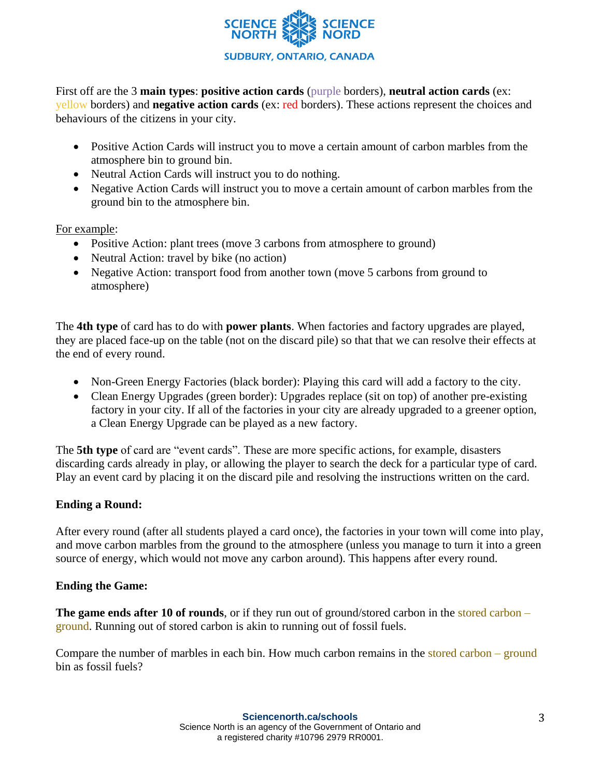

First off are the 3 **main types**: **positive action cards** (purple borders), **neutral action cards** (ex: yellow borders) and **negative action cards** (ex: red borders). These actions represent the choices and behaviours of the citizens in your city.

- Positive Action Cards will instruct you to move a certain amount of carbon marbles from the atmosphere bin to ground bin.
- Neutral Action Cards will instruct you to do nothing.
- Negative Action Cards will instruct you to move a certain amount of carbon marbles from the ground bin to the atmosphere bin.

For example:

- Positive Action: plant trees (move 3 carbons from atmosphere to ground)
- Neutral Action: travel by bike (no action)
- Negative Action: transport food from another town (move 5 carbons from ground to atmosphere)

The **4th type** of card has to do with **power plants**. When factories and factory upgrades are played, they are placed face-up on the table (not on the discard pile) so that that we can resolve their effects at the end of every round.

- Non-Green Energy Factories (black border): Playing this card will add a factory to the city.
- Clean Energy Upgrades (green border): Upgrades replace (sit on top) of another pre-existing factory in your city. If all of the factories in your city are already upgraded to a greener option, a Clean Energy Upgrade can be played as a new factory.

The **5th type** of card are "event cards". These are more specific actions, for example, disasters discarding cards already in play, or allowing the player to search the deck for a particular type of card. Play an event card by placing it on the discard pile and resolving the instructions written on the card.

## **Ending a Round:**

After every round (after all students played a card once), the factories in your town will come into play, and move carbon marbles from the ground to the atmosphere (unless you manage to turn it into a green source of energy, which would not move any carbon around). This happens after every round.

## **Ending the Game:**

**The game ends after 10 of rounds**, or if they run out of ground/stored carbon in the stored carbon – ground. Running out of stored carbon is akin to running out of fossil fuels.

Compare the number of marbles in each bin. How much carbon remains in the stored carbon  $-$  ground bin as fossil fuels?